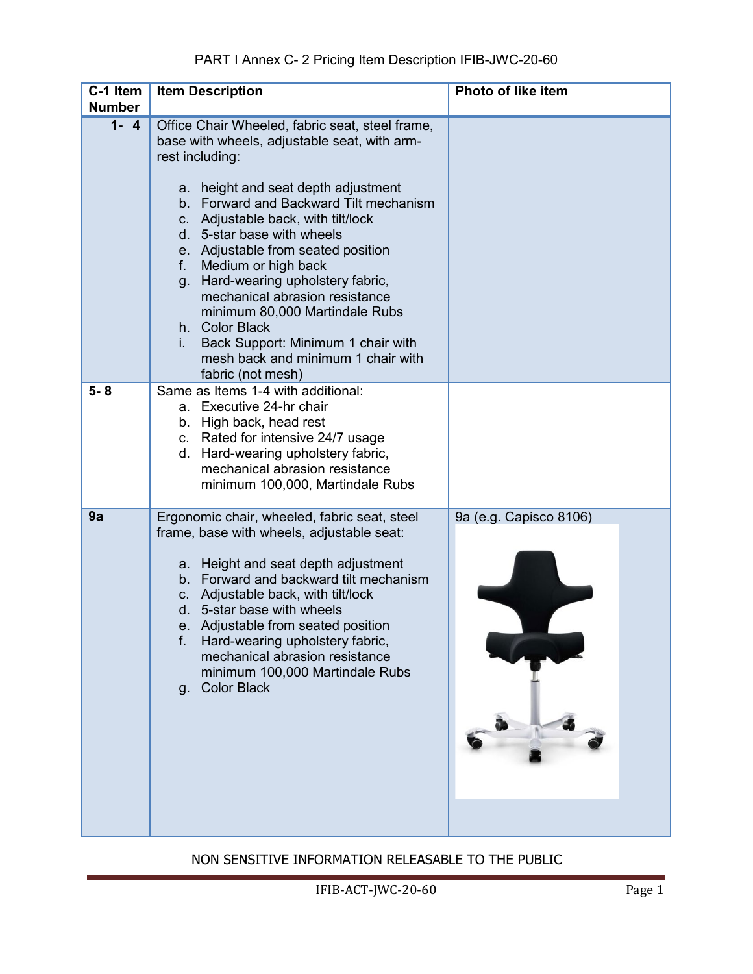| C-1 Item<br><b>Number</b> | <b>Item Description</b>                                                                                                                                                                                                                                                                                                                                                                                                                                                                                                                                                    | Photo of like item     |
|---------------------------|----------------------------------------------------------------------------------------------------------------------------------------------------------------------------------------------------------------------------------------------------------------------------------------------------------------------------------------------------------------------------------------------------------------------------------------------------------------------------------------------------------------------------------------------------------------------------|------------------------|
| $1 - 4$                   | Office Chair Wheeled, fabric seat, steel frame,<br>base with wheels, adjustable seat, with arm-<br>rest including:<br>a. height and seat depth adjustment<br>b. Forward and Backward Tilt mechanism<br>c. Adjustable back, with tilt/lock<br>d. 5-star base with wheels<br>e. Adjustable from seated position<br>f. Medium or high back<br>g. Hard-wearing upholstery fabric,<br>mechanical abrasion resistance<br>minimum 80,000 Martindale Rubs<br>h. Color Black<br>Back Support: Minimum 1 chair with<br>i.<br>mesh back and minimum 1 chair with<br>fabric (not mesh) |                        |
| $5 - 8$                   | Same as Items 1-4 with additional:<br>a. Executive 24-hr chair<br>b. High back, head rest<br>c. Rated for intensive 24/7 usage<br>d. Hard-wearing upholstery fabric,<br>mechanical abrasion resistance<br>minimum 100,000, Martindale Rubs                                                                                                                                                                                                                                                                                                                                 |                        |
| 9a                        | Ergonomic chair, wheeled, fabric seat, steel<br>frame, base with wheels, adjustable seat:<br>a. Height and seat depth adjustment<br>b. Forward and backward tilt mechanism<br>c. Adjustable back, with tilt/lock<br>d. 5-star base with wheels<br>e. Adjustable from seated position<br>Hard-wearing upholstery fabric,<br>f.<br>mechanical abrasion resistance<br>minimum 100,000 Martindale Rubs<br><b>Color Black</b><br>$q_{\cdot}$                                                                                                                                    | 9a (e.g. Capisco 8106) |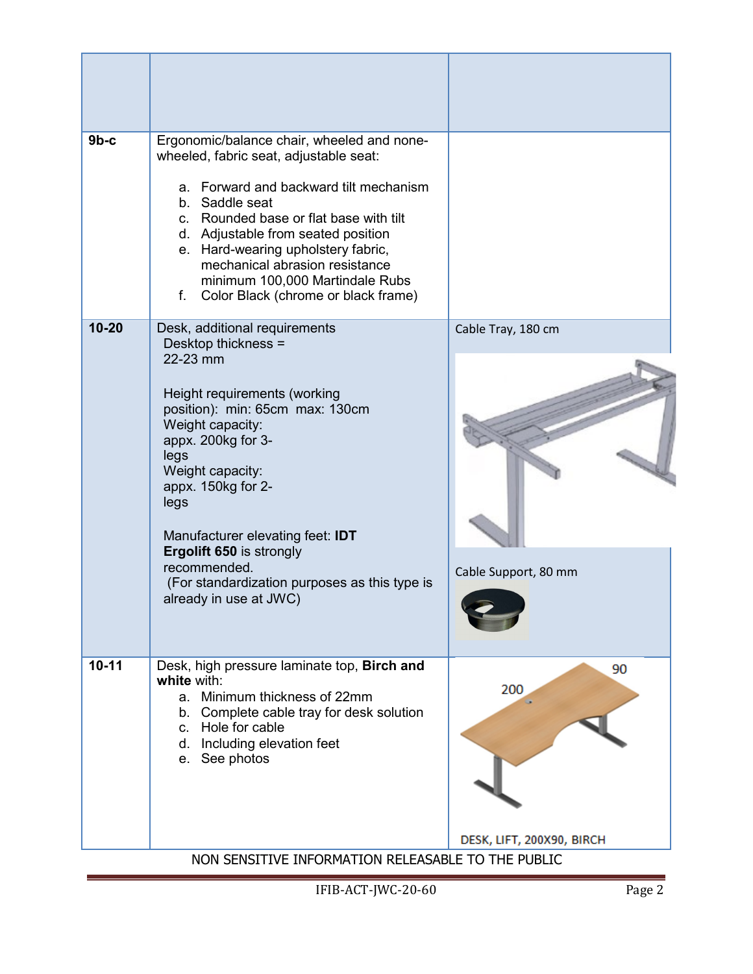| $9b-c$    | Ergonomic/balance chair, wheeled and none-                                                                                                                                                                                                                                                                                                                                                         |                                            |
|-----------|----------------------------------------------------------------------------------------------------------------------------------------------------------------------------------------------------------------------------------------------------------------------------------------------------------------------------------------------------------------------------------------------------|--------------------------------------------|
|           | wheeled, fabric seat, adjustable seat:<br>a. Forward and backward tilt mechanism<br>b. Saddle seat<br>c. Rounded base or flat base with tilt<br>d. Adjustable from seated position<br>e. Hard-wearing upholstery fabric,<br>mechanical abrasion resistance<br>minimum 100,000 Martindale Rubs<br>f.<br>Color Black (chrome or black frame)                                                         |                                            |
| $10 - 20$ | Desk, additional requirements<br>Desktop thickness =<br>22-23 mm<br>Height requirements (working<br>position): min: 65cm max: 130cm<br>Weight capacity:<br>appx. 200kg for 3-<br>legs<br>Weight capacity:<br>appx. 150kg for 2-<br>legs<br>Manufacturer elevating feet: IDT<br>Ergolift 650 is strongly<br>recommended.<br>(For standardization purposes as this type is<br>already in use at JWC) | Cable Tray, 180 cm<br>Cable Support, 80 mm |
| $10 - 11$ | Desk, high pressure laminate top, Birch and<br>white with:<br>a. Minimum thickness of 22mm<br>b. Complete cable tray for desk solution<br>c. Hole for cable<br>d. Including elevation feet<br>e. See photos<br>NON SENSITIVE INFORMATION RELEASABLE TO THE PUBLIC                                                                                                                                  | 90<br>200<br>DESK, LIFT, 200X90, BIRCH     |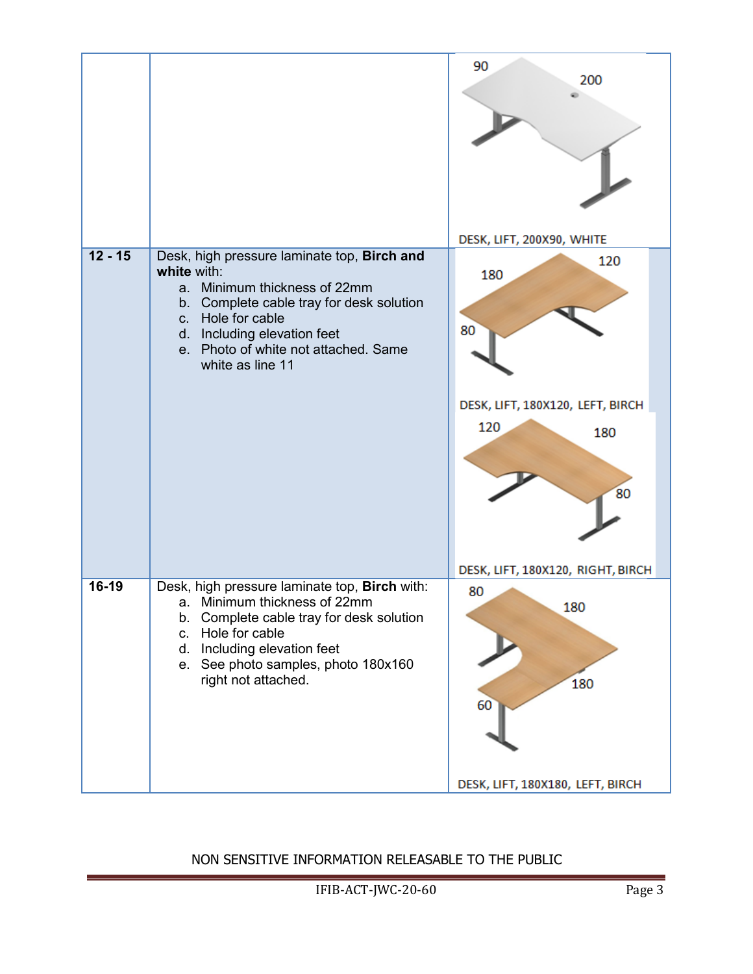|           |                                                                                                                                                                                                                                                           | 90<br>200<br>DESK, LIFT, 200X90, WHITE                                                                        |
|-----------|-----------------------------------------------------------------------------------------------------------------------------------------------------------------------------------------------------------------------------------------------------------|---------------------------------------------------------------------------------------------------------------|
| $12 - 15$ | Desk, high pressure laminate top, Birch and<br>white with:<br>Minimum thickness of 22mm<br>a.<br>b. Complete cable tray for desk solution<br>c. Hole for cable<br>d. Including elevation feet<br>e. Photo of white not attached. Same<br>white as line 11 | 120<br>180<br>80<br>DESK, LIFT, 180X120, LEFT, BIRCH<br>120<br>180<br>80<br>DESK, LIFT, 180X120, RIGHT, BIRCH |
| 16-19     | Desk, high pressure laminate top, Birch with:<br>a. Minimum thickness of 22mm<br>b. Complete cable tray for desk solution<br>c. Hole for cable<br>d. Including elevation feet<br>e. See photo samples, photo 180x160<br>right not attached.               | 80<br>180<br>180<br>60<br>DESK, LIFT, 180X180, LEFT, BIRCH                                                    |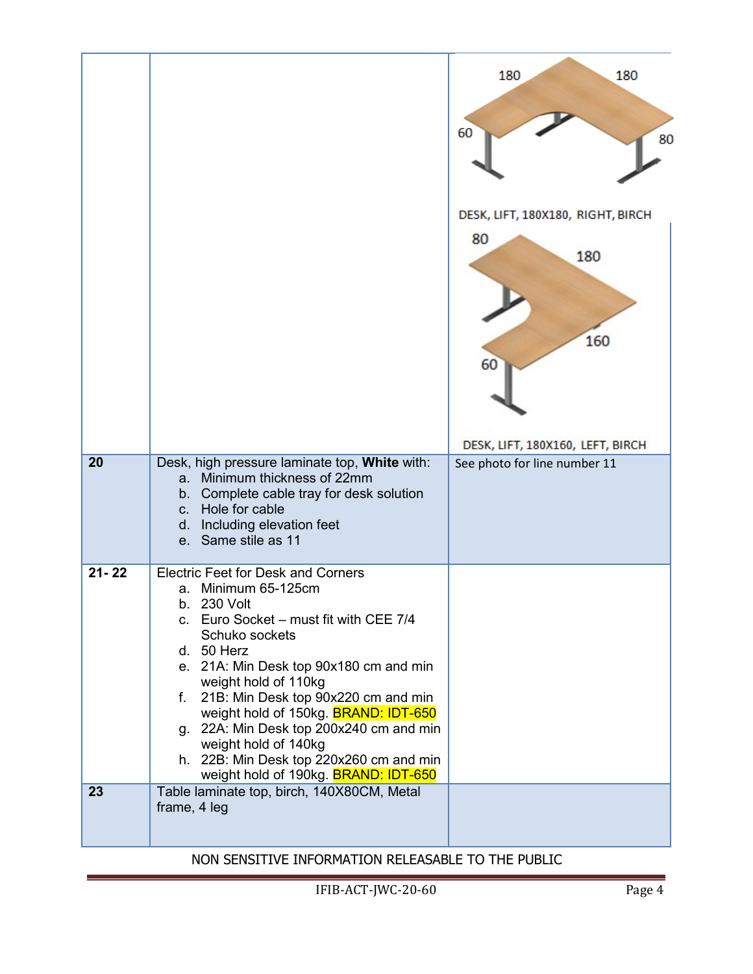| 20        | Desk, high pressure laminate top, White with:<br>Minimum thickness of 22mm<br>a <sub>z</sub><br>b. Complete cable tray for desk solution                                                                                                                                                                                                                                                                                                                                   | 180<br>180<br>60<br>80<br>DESK, LIFT, 180X180, RIGHT, BIRCH<br>80<br>180<br>160<br>60<br>DESK, LIFT, 180X160, LEFT, BIRCH<br>See photo for line number 11 |
|-----------|----------------------------------------------------------------------------------------------------------------------------------------------------------------------------------------------------------------------------------------------------------------------------------------------------------------------------------------------------------------------------------------------------------------------------------------------------------------------------|-----------------------------------------------------------------------------------------------------------------------------------------------------------|
|           | d. Including elevation feet<br>e. Same stile as 11                                                                                                                                                                                                                                                                                                                                                                                                                         |                                                                                                                                                           |
| $21 - 22$ | <b>Electric Feet for Desk and Corners</b><br>a. Minimum 65-125cm<br>b. 230 Volt<br>c. Euro Socket - must fit with CEE 7/4<br>Schuko sockets<br>d. 50 Herz<br>e. 21A: Min Desk top 90x180 cm and min<br>weight hold of 110kg<br>f. 21B: Min Desk top 90x220 cm and min<br>weight hold of 150kg. <b>BRAND: IDT-650</b><br>g. 22A: Min Desk top 200x240 cm and min<br>weight hold of 140kg<br>h. 22B: Min Desk top 220x260 cm and min<br>weight hold of 190kg. BRAND: IDT-650 |                                                                                                                                                           |
| 23        | Table laminate top, birch, 140X80CM, Metal<br>frame, 4 leg                                                                                                                                                                                                                                                                                                                                                                                                                 |                                                                                                                                                           |